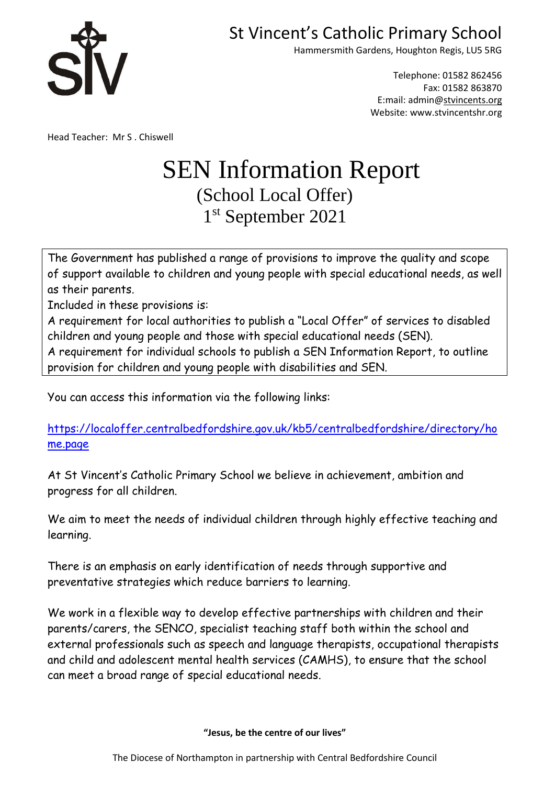

Hammersmith Gardens, Houghton Regis, LU5 5RG

Telephone: 01582 862456 Fax: 01582 863870 E:mail: admin[@stvincents.org](mailto:stvincents@cbc.beds.sch.uk) Website: www.stvincentshr.org

Head Teacher: Mr S . Chiswell

# SEN Information Report (School Local Offer) 1 st September 2021

The Government has published a range of provisions to improve the quality and scope of support available to children and young people with special educational needs, as well as their parents.

Included in these provisions is:

A requirement for local authorities to publish a "Local Offer" of services to disabled children and young people and those with special educational needs (SEN).

A requirement for individual schools to publish a SEN Information Report, to outline provision for children and young people with disabilities and SEN.

You can access this information via the following links:

[https://localoffer.centralbedfordshire.gov.uk/kb5/centralbedfordshire/directory/ho](https://localoffer.centralbedfordshire.gov.uk/kb5/centralbedfordshire/directory/home.page) [me.page](https://localoffer.centralbedfordshire.gov.uk/kb5/centralbedfordshire/directory/home.page)

At St Vincent's Catholic Primary School we believe in achievement, ambition and progress for all children.

We aim to meet the needs of individual children through highly effective teaching and learning.

There is an emphasis on early identification of needs through supportive and preventative strategies which reduce barriers to learning.

We work in a flexible way to develop effective partnerships with children and their parents/carers, the SENCO, specialist teaching staff both within the school and external professionals such as speech and language therapists, occupational therapists and child and adolescent mental health services (CAMHS), to ensure that the school can meet a broad range of special educational needs.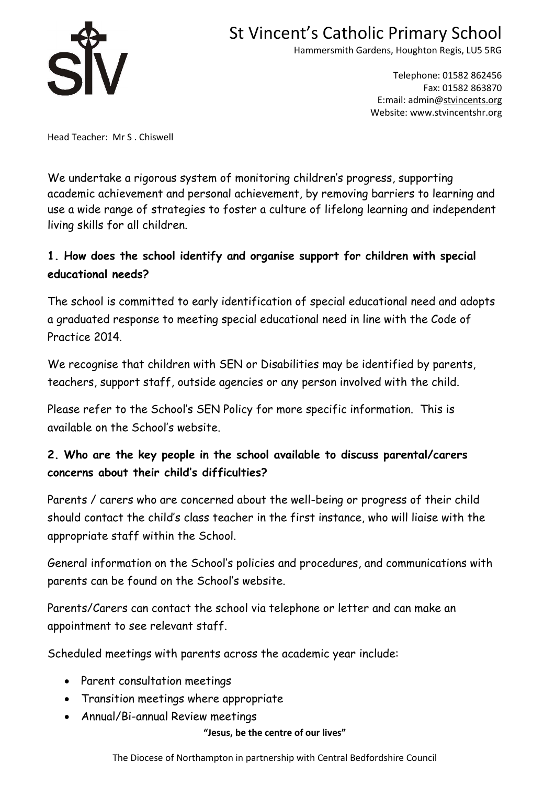

Hammersmith Gardens, Houghton Regis, LU5 5RG

Telephone: 01582 862456 Fax: 01582 863870 E:mail: admin[@stvincents.org](mailto:stvincents@cbc.beds.sch.uk) Website: www.stvincentshr.org

Head Teacher: Mr S . Chiswell

We undertake a rigorous system of monitoring children's progress, supporting academic achievement and personal achievement, by removing barriers to learning and use a wide range of strategies to foster a culture of lifelong learning and independent living skills for all children.

## **1. How does the school identify and organise support for children with special educational needs?**

The school is committed to early identification of special educational need and adopts a graduated response to meeting special educational need in line with the Code of Practice 2014.

We recognise that children with SEN or Disabilities may be identified by parents, teachers, support staff, outside agencies or any person involved with the child.

Please refer to the School's SEN Policy for more specific information. This is available on the School's website.

## **2. Who are the key people in the school available to discuss parental/carers concerns about their child's difficulties?**

Parents / carers who are concerned about the well-being or progress of their child should contact the child's class teacher in the first instance, who will liaise with the appropriate staff within the School.

General information on the School's policies and procedures, and communications with parents can be found on the School's website.

Parents/Carers can contact the school via telephone or letter and can make an appointment to see relevant staff.

Scheduled meetings with parents across the academic year include:

- Parent consultation meetings
- Transition meetings where appropriate
- Annual/Bi-annual Review meetings

**"Jesus, be the centre of our lives"**

The Diocese of Northampton in partnership with Central Bedfordshire Council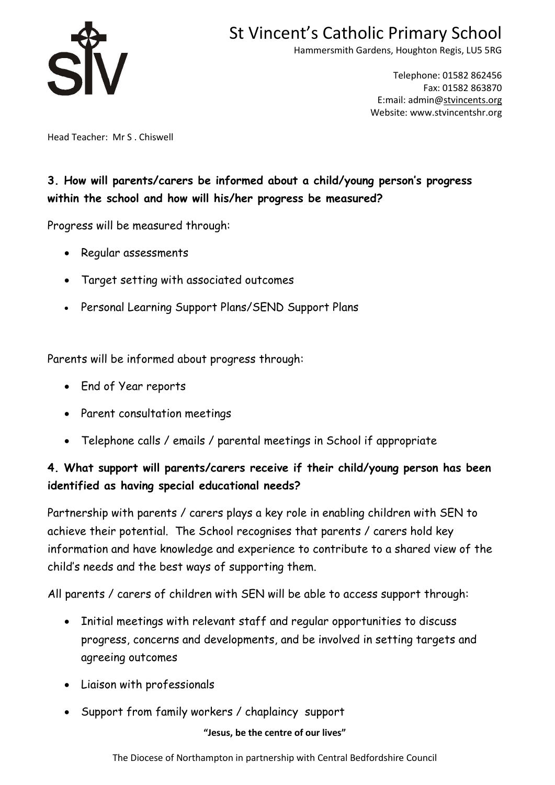

Hammersmith Gardens, Houghton Regis, LU5 5RG

Telephone: 01582 862456 Fax: 01582 863870 E:mail: admin[@stvincents.org](mailto:stvincents@cbc.beds.sch.uk) Website: www.stvincentshr.org

Head Teacher: Mr S . Chiswell

### **3. How will parents/carers be informed about a child/young person's progress within the school and how will his/her progress be measured?**

Progress will be measured through:

- Regular assessments
- Target setting with associated outcomes
- Personal Learning Support Plans/SEND Support Plans

Parents will be informed about progress through:

- End of Year reports
- Parent consultation meetings
- Telephone calls / emails / parental meetings in School if appropriate

## **4. What support will parents/carers receive if their child/young person has been identified as having special educational needs?**

Partnership with parents / carers plays a key role in enabling children with SEN to achieve their potential. The School recognises that parents / carers hold key information and have knowledge and experience to contribute to a shared view of the child's needs and the best ways of supporting them.

All parents / carers of children with SEN will be able to access support through:

- Initial meetings with relevant staff and regular opportunities to discuss progress, concerns and developments, and be involved in setting targets and agreeing outcomes
- Liaison with professionals
- Support from family workers / chaplaincy support

#### **"Jesus, be the centre of our lives"**

The Diocese of Northampton in partnership with Central Bedfordshire Council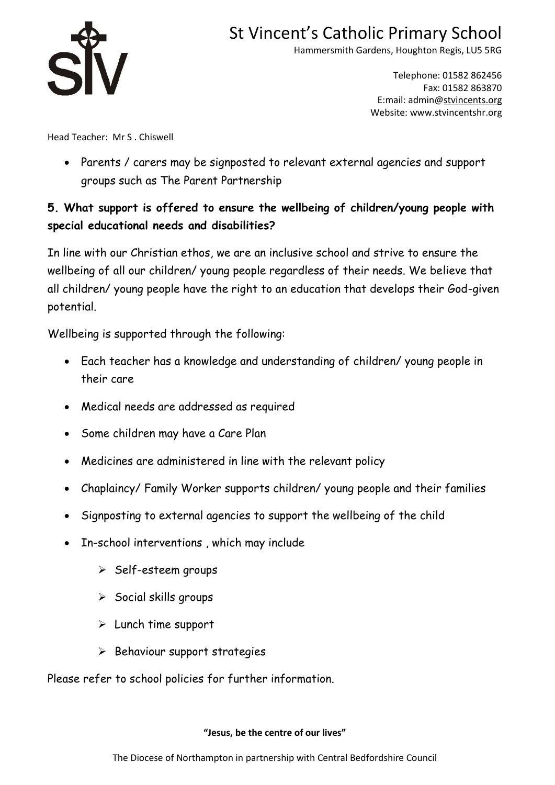

Hammersmith Gardens, Houghton Regis, LU5 5RG

Telephone: 01582 862456 Fax: 01582 863870 E:mail: admin[@stvincents.org](mailto:stvincents@cbc.beds.sch.uk) Website: www.stvincentshr.org

Head Teacher: Mr S . Chiswell

 Parents / carers may be signposted to relevant external agencies and support groups such as The Parent Partnership

### **5. What support is offered to ensure the wellbeing of children/young people with special educational needs and disabilities?**

In line with our Christian ethos, we are an inclusive school and strive to ensure the wellbeing of all our children/ young people regardless of their needs. We believe that all children/ young people have the right to an education that develops their God-given potential.

Wellbeing is supported through the following:

- Each teacher has a knowledge and understanding of children/ young people in their care
- Medical needs are addressed as required
- Some children may have a Care Plan
- Medicines are administered in line with the relevant policy
- Chaplaincy/ Family Worker supports children/ young people and their families
- Signposting to external agencies to support the wellbeing of the child
- In-school interventions , which may include
	- $\triangleright$  Self-esteem groups
	- $\triangleright$  Social skills groups
	- $\triangleright$  Lunch time support
	- $\triangleright$  Behaviour support strategies

Please refer to school policies for further information.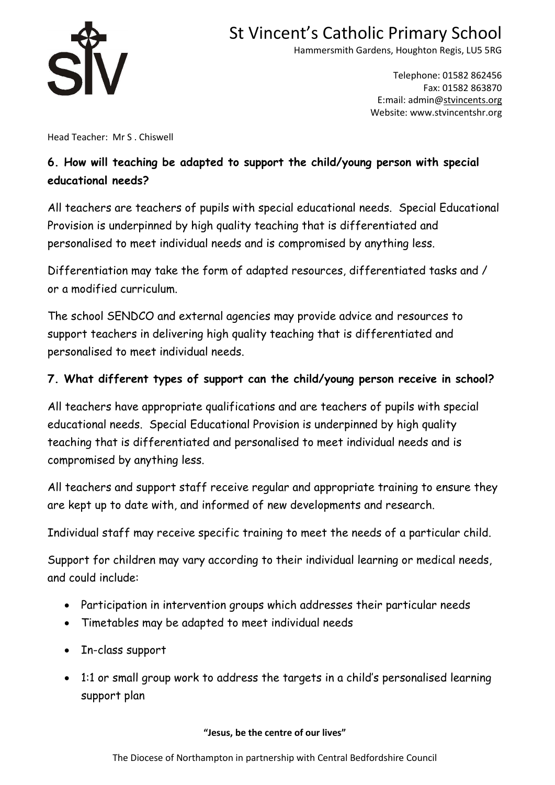

Hammersmith Gardens, Houghton Regis, LU5 5RG

Telephone: 01582 862456 Fax: 01582 863870 E:mail: admin[@stvincents.org](mailto:stvincents@cbc.beds.sch.uk) Website: www.stvincentshr.org

Head Teacher: Mr S . Chiswell

### **6. How will teaching be adapted to support the child/young person with special educational needs?**

All teachers are teachers of pupils with special educational needs. Special Educational Provision is underpinned by high quality teaching that is differentiated and personalised to meet individual needs and is compromised by anything less.

Differentiation may take the form of adapted resources, differentiated tasks and / or a modified curriculum.

The school SENDCO and external agencies may provide advice and resources to support teachers in delivering high quality teaching that is differentiated and personalised to meet individual needs.

### **7. What different types of support can the child/young person receive in school?**

All teachers have appropriate qualifications and are teachers of pupils with special educational needs. Special Educational Provision is underpinned by high quality teaching that is differentiated and personalised to meet individual needs and is compromised by anything less.

All teachers and support staff receive regular and appropriate training to ensure they are kept up to date with, and informed of new developments and research.

Individual staff may receive specific training to meet the needs of a particular child.

Support for children may vary according to their individual learning or medical needs, and could include:

- Participation in intervention groups which addresses their particular needs
- Timetables may be adapted to meet individual needs
- In-class support
- 1:1 or small group work to address the targets in a child's personalised learning support plan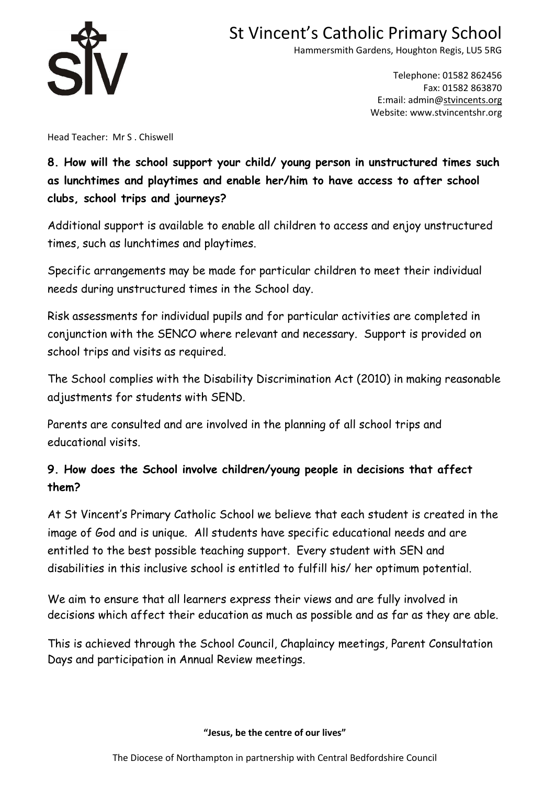

Hammersmith Gardens, Houghton Regis, LU5 5RG

Telephone: 01582 862456 Fax: 01582 863870 E:mail: admin[@stvincents.org](mailto:stvincents@cbc.beds.sch.uk) Website: www.stvincentshr.org

Head Teacher: Mr S . Chiswell

## **8. How will the school support your child/ young person in unstructured times such as lunchtimes and playtimes and enable her/him to have access to after school clubs, school trips and journeys?**

Additional support is available to enable all children to access and enjoy unstructured times, such as lunchtimes and playtimes.

Specific arrangements may be made for particular children to meet their individual needs during unstructured times in the School day.

Risk assessments for individual pupils and for particular activities are completed in conjunction with the SENCO where relevant and necessary. Support is provided on school trips and visits as required.

The School complies with the Disability Discrimination Act (2010) in making reasonable adjustments for students with SEND.

Parents are consulted and are involved in the planning of all school trips and educational visits.

### **9. How does the School involve children/young people in decisions that affect them?**

At St Vincent's Primary Catholic School we believe that each student is created in the image of God and is unique. All students have specific educational needs and are entitled to the best possible teaching support. Every student with SEN and disabilities in this inclusive school is entitled to fulfill his/ her optimum potential.

We aim to ensure that all learners express their views and are fully involved in decisions which affect their education as much as possible and as far as they are able.

This is achieved through the School Council, Chaplaincy meetings, Parent Consultation Days and participation in Annual Review meetings.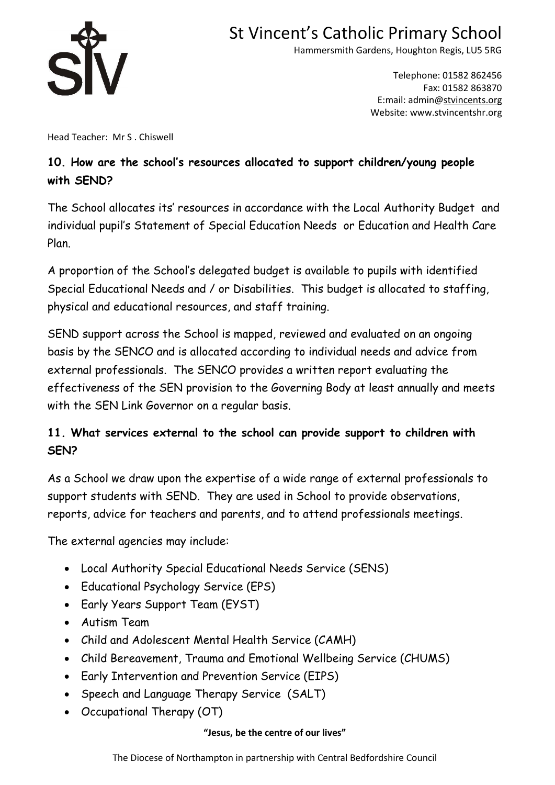

Hammersmith Gardens, Houghton Regis, LU5 5RG

Telephone: 01582 862456 Fax: 01582 863870 E:mail: admin[@stvincents.org](mailto:stvincents@cbc.beds.sch.uk) Website: www.stvincentshr.org

Head Teacher: Mr S . Chiswell

## **10. How are the school's resources allocated to support children/young people with SEND?**

The School allocates its' resources in accordance with the Local Authority Budget and individual pupil's Statement of Special Education Needs or Education and Health Care Plan.

A proportion of the School's delegated budget is available to pupils with identified Special Educational Needs and / or Disabilities. This budget is allocated to staffing, physical and educational resources, and staff training.

SEND support across the School is mapped, reviewed and evaluated on an ongoing basis by the SENCO and is allocated according to individual needs and advice from external professionals. The SENCO provides a written report evaluating the effectiveness of the SEN provision to the Governing Body at least annually and meets with the SEN Link Governor on a regular basis.

## **11. What services external to the school can provide support to children with SEN?**

As a School we draw upon the expertise of a wide range of external professionals to support students with SEND. They are used in School to provide observations, reports, advice for teachers and parents, and to attend professionals meetings.

The external agencies may include:

- Local Authority Special Educational Needs Service (SENS)
- Educational Psychology Service (EPS)
- Early Years Support Team (EYST)
- Autism Team
- Child and Adolescent Mental Health Service (CAMH)
- Child Bereavement, Trauma and Emotional Wellbeing Service (CHUMS)
- Early Intervention and Prevention Service (EIPS)
- Speech and Language Therapy Service (SALT)
- Occupational Therapy (OT)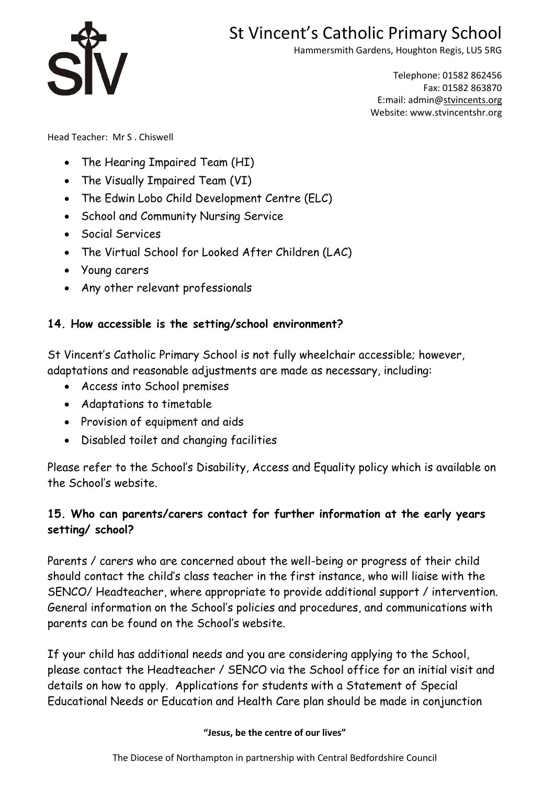

Hammersmith Gardens, Houghton Regis, LU5 5RG

Telephone: 01582 862456 Fax: 01582 863870 E:mail: admin[@stvincents.org](mailto:stvincents@cbc.beds.sch.uk) Website: www.stvincentshr.org

Head Teacher: Mr S . Chiswell

- The Hearing Impaired Team (HI)
- The Visually Impaired Team (VI)
- The Edwin Lobo Child Development Centre (ELC)
- School and Community Nursing Service
- Social Services
- The Virtual School for Looked After Children (LAC)
- Young carers
- Any other relevant professionals

### **14. How accessible is the setting/school environment?**

St Vincent's Catholic Primary School is not fully wheelchair accessible; however, adaptations and reasonable adjustments are made as necessary, including:

- Access into School premises
- Adaptations to timetable
- Provision of equipment and aids
- Disabled toilet and changing facilities

Please refer to the School's Disability, Access and Equality policy which is available on the School's website.

### **15. Who can parents/carers contact for further information at the early years setting/ school?**

Parents / carers who are concerned about the well-being or progress of their child should contact the child's class teacher in the first instance, who will liaise with the SENCO/ Headteacher, where appropriate to provide additional support / intervention. General information on the School's policies and procedures, and communications with parents can be found on the School's website.

If your child has additional needs and you are considering applying to the School, please contact the Headteacher / SENCO via the School office for an initial visit and details on how to apply. Applications for students with a Statement of Special Educational Needs or Education and Health Care plan should be made in conjunction